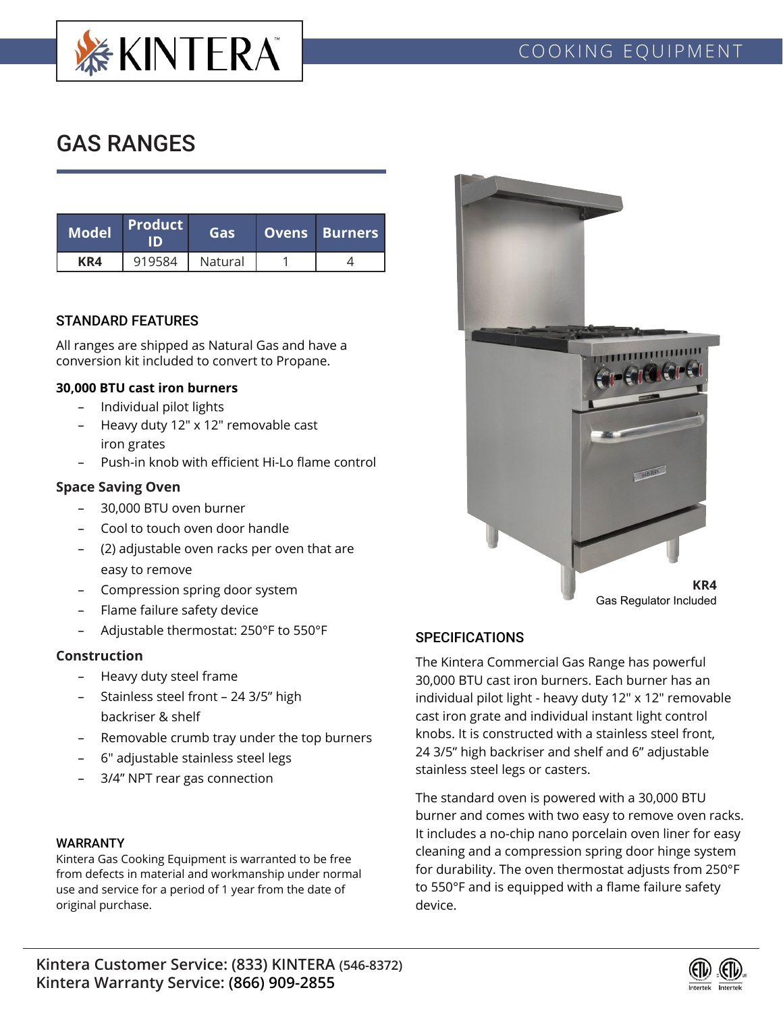

# GAS RANGES

| <b>Model</b> | <b>Product</b> | Gas     | <b>Ovens Burners</b> |  |
|--------------|----------------|---------|----------------------|--|
| KR4          | 919584         | Natural |                      |  |

# STANDARD FEATURES

All ranges are shipped as Natural Gas and have a conversion kit included to convert to Propane.

# **30,000 BTU cast iron burners**

- Individual pilot lights
- Heavy duty 12" x 12" removable cast iron grates
- Push-in knob with efficient Hi-Lo flame control

# **Space Saving Oven**

- 30,000 BTU oven burner
- Cool to touch oven door handle
- (2) adjustable oven racks per oven that are easy to remove
- Compression spring door system
- Flame failure safety device
- Adjustable thermostat: 250°F to 550°F

#### **Construction**

- Heavy duty steel frame
- Stainless steel front 24 3/5" high backriser & shelf
- Removable crumb tray under the top burners
- 6" adjustable stainless steel legs
- 3/4" NPT rear gas connection

# WARRANTY

Kintera Gas Cooking Equipment is warranted to be free from defects in material and workmanship under normal use and service for a period of 1 year from the date of original purchase.



# **SPECIFICATIONS**

The Kintera Commercial Gas Range has powerful 30,000 BTU cast iron burners. Each burner has an individual pilot light - heavy duty 12" x 12" removable cast iron grate and individual instant light control knobs. It is constructed with a stainless steel front, 24 3/5" high backriser and shelf and 6" adjustable stainless steel legs or casters.

The standard oven is powered with a 30,000 BTU burner and comes with two easy to remove oven racks. It includes a no-chip nano porcelain oven liner for easy cleaning and a compression spring door hinge system for durability. The oven thermostat adjusts from 250°F to 550°F and is equipped with a flame failure safety device.